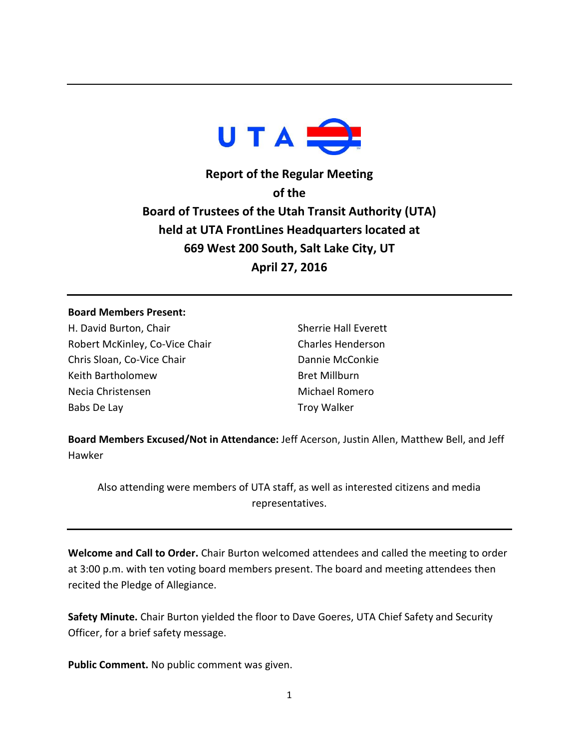

**Report of the Regular Meeting of the Board of Trustees of the Utah Transit Authority (UTA) held at UTA FrontLines Headquarters located at 669 West 200 South, Salt Lake City, UT April 27, 2016**

## **Board Members Present:**

H. David Burton, Chair Robert McKinley, Co-Vice Chair Chris Sloan, Co-Vice Chair Keith Bartholomew Necia Christensen Babs De Lay

Sherrie Hall Everett Charles Henderson Dannie McConkie Bret Millburn Michael Romero Troy Walker

**Board Members Excused/Not in Attendance:** Jeff Acerson, Justin Allen, Matthew Bell, and Jeff Hawker

Also attending were members of UTA staff, as well as interested citizens and media representatives.

**Welcome and Call to Order.** Chair Burton welcomed attendees and called the meeting to order at 3:00 p.m. with ten voting board members present. The board and meeting attendees then recited the Pledge of Allegiance.

**Safety Minute.** Chair Burton yielded the floor to Dave Goeres, UTA Chief Safety and Security Officer, for a brief safety message.

**Public Comment.** No public comment was given.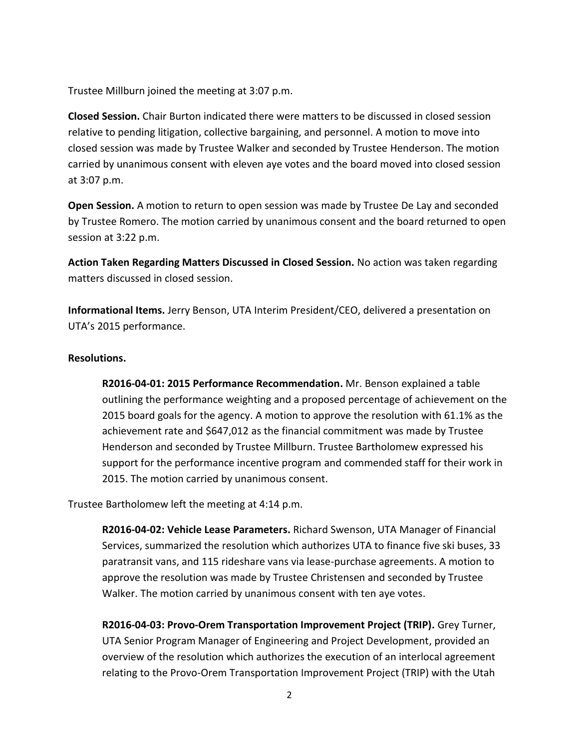Trustee Millburn joined the meeting at 3:07 p.m.

**Closed Session.** Chair Burton indicated there were matters to be discussed in closed session relative to pending litigation, collective bargaining, and personnel. A motion to move into closed session was made by Trustee Walker and seconded by Trustee Henderson. The motion carried by unanimous consent with eleven aye votes and the board moved into closed session at 3:07 p.m.

**Open Session.** A motion to return to open session was made by Trustee De Lay and seconded by Trustee Romero. The motion carried by unanimous consent and the board returned to open session at 3:22 p.m.

**Action Taken Regarding Matters Discussed in Closed Session.** No action was taken regarding matters discussed in closed session.

**Informational Items.** Jerry Benson, UTA Interim President/CEO, delivered a presentation on UTA's 2015 performance.

## **Resolutions.**

**R2016-04-01: 2015 Performance Recommendation.** Mr. Benson explained a table outlining the performance weighting and a proposed percentage of achievement on the 2015 board goals for the agency. A motion to approve the resolution with 61.1% as the achievement rate and \$647,012 as the financial commitment was made by Trustee Henderson and seconded by Trustee Millburn. Trustee Bartholomew expressed his support for the performance incentive program and commended staff for their work in 2015. The motion carried by unanimous consent.

Trustee Bartholomew left the meeting at 4:14 p.m.

**R2016-04-02: Vehicle Lease Parameters.** Richard Swenson, UTA Manager of Financial Services, summarized the resolution which authorizes UTA to finance five ski buses, 33 paratransit vans, and 115 rideshare vans via lease-purchase agreements. A motion to approve the resolution was made by Trustee Christensen and seconded by Trustee Walker. The motion carried by unanimous consent with ten aye votes.

**R2016-04-03: Provo-Orem Transportation Improvement Project (TRIP).** Grey Turner, UTA Senior Program Manager of Engineering and Project Development, provided an overview of the resolution which authorizes the execution of an interlocal agreement relating to the Provo-Orem Transportation Improvement Project (TRIP) with the Utah